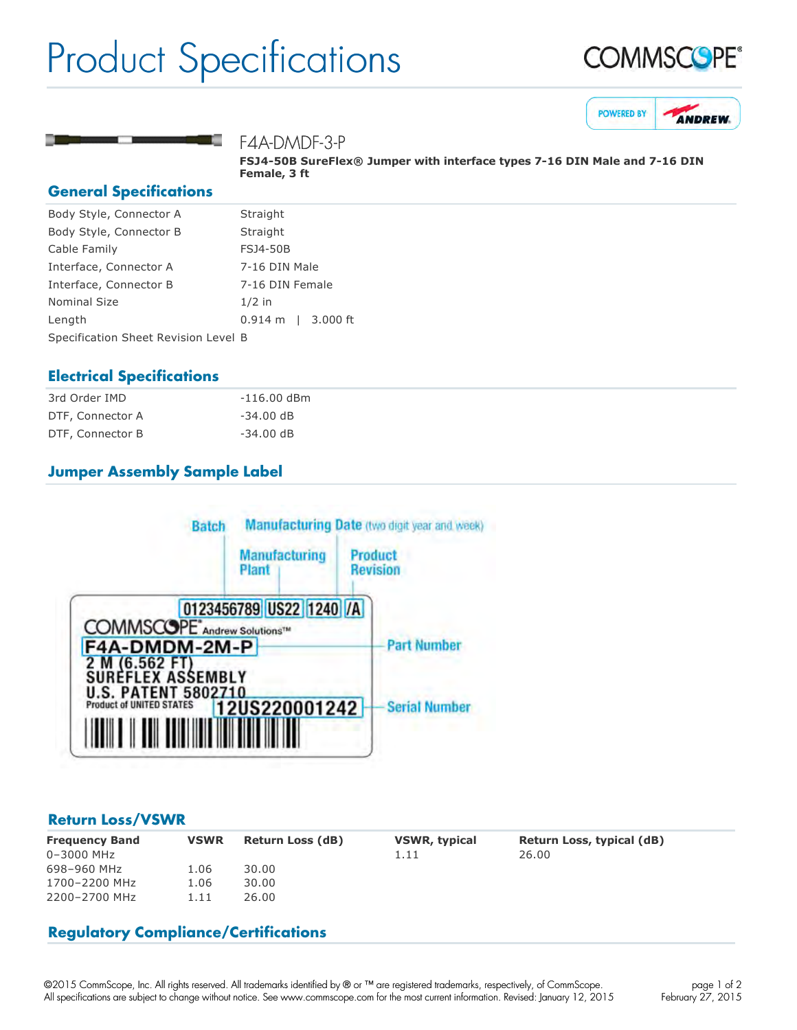## Product Specifications







F4A-DMDF-3-P

**FSJ450B SureFlex® Jumper with interface types 716 DIN Male and 716 DIN Female, 3 ft**

#### **General Specifications**

| Body Style, Connector A              | Straight                        |  |  |
|--------------------------------------|---------------------------------|--|--|
| Body Style, Connector B              | Straight                        |  |  |
| Cable Family                         | <b>FSJ4-50B</b>                 |  |  |
| Interface, Connector A               | 7-16 DIN Male                   |  |  |
| Interface, Connector B               | 7-16 DIN Female                 |  |  |
| <b>Nominal Size</b>                  | $1/2$ in                        |  |  |
| Length                               | $3.000$ ft<br>$0.914 \text{ m}$ |  |  |
| Specification Sheet Revision Level B |                                 |  |  |

### **Electrical Specifications**

| 3rd Order IMD    | $-116.00$ dBm         |
|------------------|-----------------------|
| DTF, Connector A | $-34.00 \, \text{dB}$ |
| DTF, Connector B | $-34.00 \, \text{dB}$ |

## **Jumper Assembly Sample Label**



#### **Return Loss/VSWR**

| <b>Frequency Band</b><br>$0 - 3000$ MHz | <b>VSWR</b> | <b>Return Loss (dB)</b> | <b>VSWR, typical</b><br>1.11 | Return Loss, typical (dB)<br>26.00 |
|-----------------------------------------|-------------|-------------------------|------------------------------|------------------------------------|
| 698-960 MHz                             | 1.06        | 30.00                   |                              |                                    |
| 1700-2200 MHz                           | 1.06        | 30.00                   |                              |                                    |
| 2200-2700 MHz                           | 1.11        | 26.00                   |                              |                                    |

## **Regulatory Compliance/Certifications**

©2015 CommScope, Inc. All rights reserved. All trademarks identified by ® or ™ are registered trademarks, respectively, of CommScope. All specifications are subject to change without notice. See www.commscope.com for the most current information. Revised: January 12, 2015